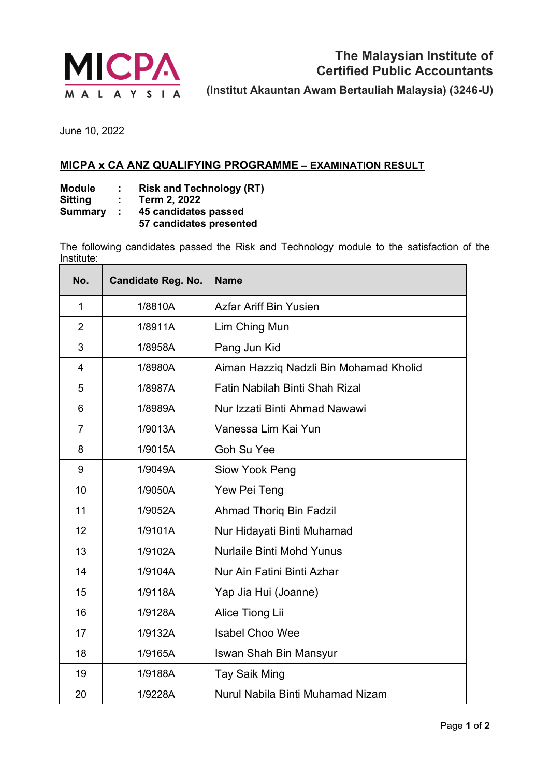

June 10, 2022

## **MICPA x CA ANZ QUALIFYING PROGRAMME – EXAMINATION RESULT**

**Module : Risk and Technology (RT)**

**Sitting : Term 2, 2022**

**Summary : 45 candidates passed** 

**57 candidates presented**

The following candidates passed the Risk and Technology module to the satisfaction of the Institute:

| No.            | <b>Candidate Reg. No.</b> | <b>Name</b>                            |
|----------------|---------------------------|----------------------------------------|
| 1              | 1/8810A                   | Azfar Ariff Bin Yusien                 |
| $\overline{2}$ | 1/8911A                   | Lim Ching Mun                          |
| 3              | 1/8958A                   | Pang Jun Kid                           |
| $\overline{4}$ | 1/8980A                   | Aiman Hazziq Nadzli Bin Mohamad Kholid |
| 5              | 1/8987A                   | <b>Fatin Nabilah Binti Shah Rizal</b>  |
| 6              | 1/8989A                   | Nur Izzati Binti Ahmad Nawawi          |
| $\overline{7}$ | 1/9013A                   | Vanessa Lim Kai Yun                    |
| 8              | 1/9015A                   | <b>Goh Su Yee</b>                      |
| 9              | 1/9049A                   | Siow Yook Peng                         |
| 10             | 1/9050A                   | Yew Pei Teng                           |
| 11             | 1/9052A                   | <b>Ahmad Thorig Bin Fadzil</b>         |
| 12             | 1/9101A                   | Nur Hidayati Binti Muhamad             |
| 13             | 1/9102A                   | <b>Nurlaile Binti Mohd Yunus</b>       |
| 14             | 1/9104A                   | Nur Ain Fatini Binti Azhar             |
| 15             | 1/9118A                   | Yap Jia Hui (Joanne)                   |
| 16             | 1/9128A                   | Alice Tiong Lii                        |
| 17             | 1/9132A                   | <b>Isabel Choo Wee</b>                 |
| 18             | 1/9165A                   | <b>Iswan Shah Bin Mansyur</b>          |
| 19             | 1/9188A                   | <b>Tay Saik Ming</b>                   |
| 20             | 1/9228A                   | Nurul Nabila Binti Muhamad Nizam       |